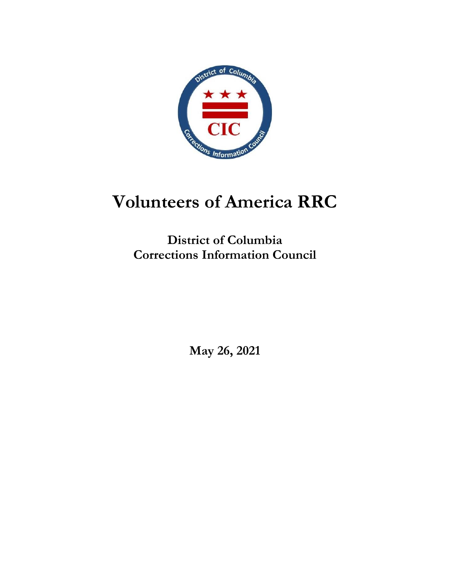

# **Volunteers of America RRC**

**District of Columbia Corrections Information Council**

**May 26, 2021**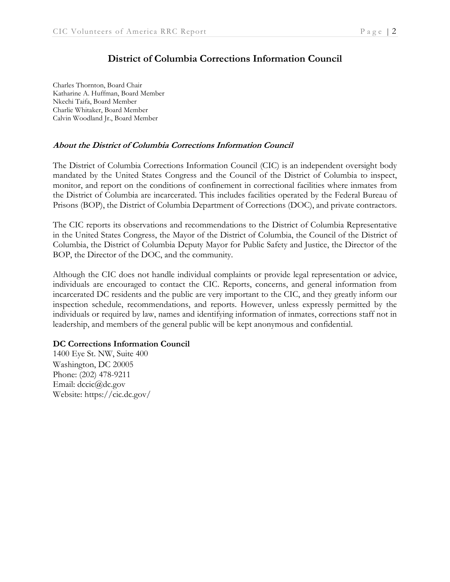### **District of Columbia Corrections Information Council**

Charles Thornton, Board Chair Katharine A. Huffman, Board Member Nkechi Taifa, Board Member Charlie Whitaker, Board Member Calvin Woodland Jr., Board Member

#### **About the District of Columbia Corrections Information Council**

The District of Columbia Corrections Information Council (CIC) is an independent oversight body mandated by the United States Congress and the Council of the District of Columbia to inspect, monitor, and report on the conditions of confinement in correctional facilities where inmates from the District of Columbia are incarcerated. This includes facilities operated by the Federal Bureau of Prisons (BOP), the District of Columbia Department of Corrections (DOC), and private contractors.

The CIC reports its observations and recommendations to the District of Columbia Representative in the United States Congress, the Mayor of the District of Columbia, the Council of the District of Columbia, the District of Columbia Deputy Mayor for Public Safety and Justice, the Director of the BOP, the Director of the DOC, and the community.

Although the CIC does not handle individual complaints or provide legal representation or advice, individuals are encouraged to contact the CIC. Reports, concerns, and general information from incarcerated DC residents and the public are very important to the CIC, and they greatly inform our inspection schedule, recommendations, and reports. However, unless expressly permitted by the individuals or required by law, names and identifying information of inmates, corrections staff not in leadership, and members of the general public will be kept anonymous and confidential.

#### **DC Corrections Information Council**

1400 Eye St. NW, Suite 400 Washington, DC 20005 Phone: (202) 478-9211 Email: dccic@dc.gov Website: https://cic.dc.gov/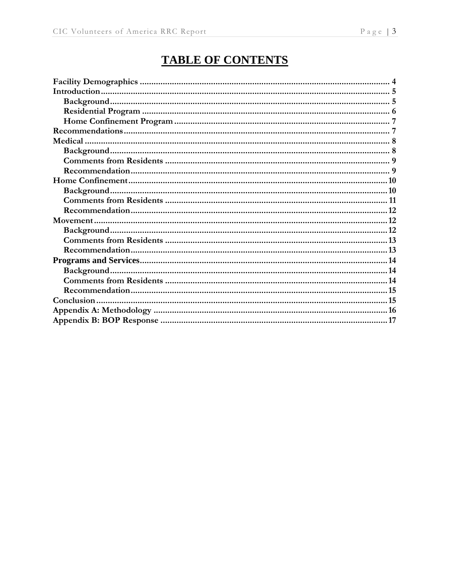# **TABLE OF CONTENTS**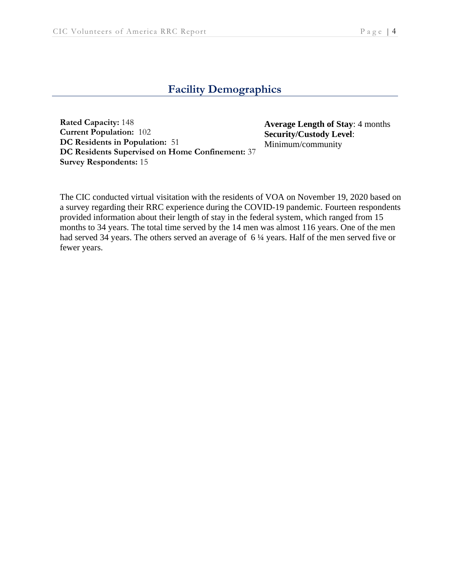# **Facility Demographics**

**Rated Capacity:** 148 **Current Population:** 102 **DC Residents in Population:** 51 **DC Residents Supervised on Home Confinement:** 37 **Survey Respondents:** 15

**Average Length of Stay**: 4 months **Security/Custody Level**: Minimum/community

The CIC conducted virtual visitation with the residents of VOA on November 19, 2020 based on a survey regarding their RRC experience during the COVID-19 pandemic. Fourteen respondents provided information about their length of stay in the federal system, which ranged from 15 months to 34 years. The total time served by the 14 men was almost 116 years. One of the men had served 34 years. The others served an average of 6  $\frac{1}{4}$  years. Half of the men served five or fewer years.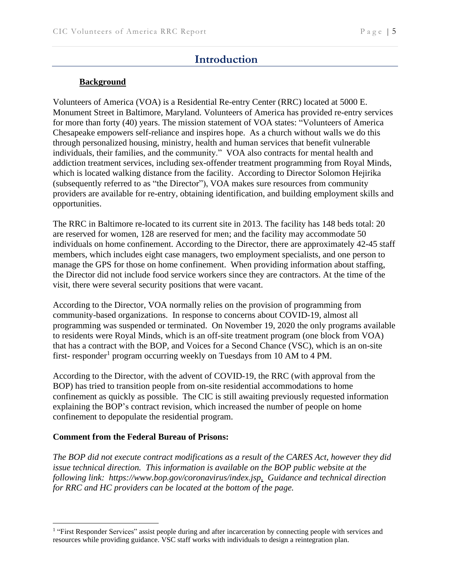# **Introduction**

#### **Background**

Volunteers of America (VOA) is a Residential Re-entry Center (RRC) located at 5000 E. Monument Street in Baltimore, Maryland. Volunteers of America has provided re-entry services for more than forty (40) years. The mission statement of VOA states: "Volunteers of America Chesapeake empowers self-reliance and inspires hope. As a church without walls we do this through personalized housing, ministry, health and human services that benefit vulnerable individuals, their families, and the community." VOA also contracts for mental health and addiction treatment services, including sex-offender treatment programming from Royal Minds, which is located walking distance from the facility. According to Director Solomon Hejirika (subsequently referred to as "the Director"), VOA makes sure resources from community providers are available for re-entry, obtaining identification, and building employment skills and opportunities.

The RRC in Baltimore re-located to its current site in 2013. The facility has 148 beds total: 20 are reserved for women, 128 are reserved for men; and the facility may accommodate 50 individuals on home confinement. According to the Director, there are approximately 42-45 staff members, which includes eight case managers, two employment specialists, and one person to manage the GPS for those on home confinement. When providing information about staffing, the Director did not include food service workers since they are contractors. At the time of the visit, there were several security positions that were vacant.

According to the Director, VOA normally relies on the provision of programming from community-based organizations. In response to concerns about COVID-19, almost all programming was suspended or terminated. On November 19, 2020 the only programs available to residents were Royal Minds, which is an off-site treatment program (one block from VOA) that has a contract with the BOP, and Voices for a Second Chance (VSC), which is an on-site first- responder<sup>1</sup> program occurring weekly on Tuesdays from 10 AM to 4 PM.

According to the Director, with the advent of COVID-19, the RRC (with approval from the BOP) has tried to transition people from on-site residential accommodations to home confinement as quickly as possible. The CIC is still awaiting previously requested information explaining the BOP's contract revision, which increased the number of people on home confinement to depopulate the residential program.

#### **Comment from the Federal Bureau of Prisons:**

*The BOP did not execute contract modifications as a result of the CARES Act, however they did issue technical direction. This information is available on the BOP public website at the following link: https://www.bop.gov/coronavirus/index.jsp. Guidance and technical direction for RRC and HC providers can be located at the bottom of the page.*

<sup>&</sup>lt;sup>1</sup> "First Responder Services" assist people during and after incarceration by connecting people with services and resources while providing guidance. VSC staff works with individuals to design a reintegration plan.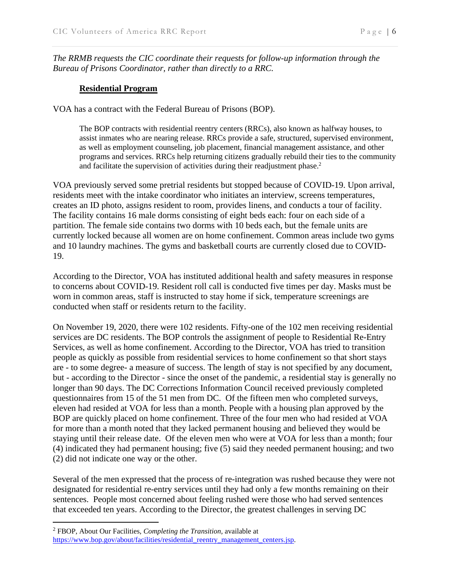*The RRMB requests the CIC coordinate their requests for follow-up information through the Bureau of Prisons Coordinator, rather than directly to a RRC.*

#### **Residential Program**

VOA has a contract with the Federal Bureau of Prisons (BOP).

The BOP contracts with residential reentry centers (RRCs), also known as halfway houses, to assist inmates who are nearing release. RRCs provide a safe, structured, supervised environment, as well as employment counseling, job placement, financial management assistance, and other programs and services. RRCs help returning citizens gradually rebuild their ties to the community and facilitate the supervision of activities during their readjustment phase.<sup>2</sup>

VOA previously served some pretrial residents but stopped because of COVID-19. Upon arrival, residents meet with the intake coordinator who initiates an interview, screens temperatures, creates an ID photo, assigns resident to room, provides linens, and conducts a tour of facility. The facility contains 16 male dorms consisting of eight beds each: four on each side of a partition. The female side contains two dorms with 10 beds each, but the female units are currently locked because all women are on home confinement. Common areas include two gyms and 10 laundry machines. The gyms and basketball courts are currently closed due to COVID-19.

According to the Director, VOA has instituted additional health and safety measures in response to concerns about COVID-19. Resident roll call is conducted five times per day. Masks must be worn in common areas, staff is instructed to stay home if sick, temperature screenings are conducted when staff or residents return to the facility.

On November 19, 2020, there were 102 residents. Fifty-one of the 102 men receiving residential services are DC residents. The BOP controls the assignment of people to Residential Re-Entry Services, as well as home confinement. According to the Director, VOA has tried to transition people as quickly as possible from residential services to home confinement so that short stays are - to some degree- a measure of success. The length of stay is not specified by any document, but - according to the Director - since the onset of the pandemic, a residential stay is generally no longer than 90 days. The DC Corrections Information Council received previously completed questionnaires from 15 of the 51 men from DC. Of the fifteen men who completed surveys, eleven had resided at VOA for less than a month. People with a housing plan approved by the BOP are quickly placed on home confinement. Three of the four men who had resided at VOA for more than a month noted that they lacked permanent housing and believed they would be staying until their release date. Of the eleven men who were at VOA for less than a month; four (4) indicated they had permanent housing; five (5) said they needed permanent housing; and two (2) did not indicate one way or the other.

Several of the men expressed that the process of re-integration was rushed because they were not designated for residential re-entry services until they had only a few months remaining on their sentences. People most concerned about feeling rushed were those who had served sentences that exceeded ten years. According to the Director, the greatest challenges in serving DC

<sup>2</sup> FBOP, About Our Facilities, *Completing the Transition,* available at [https://www.bop.gov/about/facilities/residential\\_reentry\\_management\\_centers.jsp.](https://www.bop.gov/about/facilities/residential_reentry_management_centers.jsp)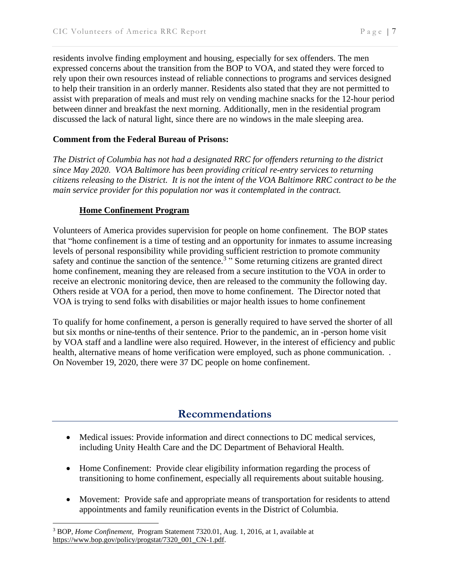residents involve finding employment and housing, especially for sex offenders. The men expressed concerns about the transition from the BOP to VOA, and stated they were forced to rely upon their own resources instead of reliable connections to programs and services designed to help their transition in an orderly manner. Residents also stated that they are not permitted to assist with preparation of meals and must rely on vending machine snacks for the 12-hour period between dinner and breakfast the next morning. Additionally, men in the residential program discussed the lack of natural light, since there are no windows in the male sleeping area.

#### **Comment from the Federal Bureau of Prisons:**

*The District of Columbia has not had a designated RRC for offenders returning to the district since May 2020. VOA Baltimore has been providing critical re-entry services to returning* citizens releasing to the District. It is not the intent of the VOA Baltimore RRC contract to be the *main service provider for this population nor was it contemplated in the contract.*

#### **Home Confinement Program**

Volunteers of America provides supervision for people on home confinement. The BOP states that "home confinement is a time of testing and an opportunity for inmates to assume increasing levels of personal responsibility while providing sufficient restriction to promote community safety and continue the sanction of the sentence.<sup>3</sup> "Some returning citizens are granted direct home confinement, meaning they are released from a secure institution to the VOA in order to receive an electronic monitoring device, then are released to the community the following day. Others reside at VOA for a period, then move to home confinement. The Director noted that VOA is trying to send folks with disabilities or major health issues to home confinement

To qualify for home confinement, a person is generally required to have served the shorter of all but six months or nine-tenths of their sentence. Prior to the pandemic, an in -person home visit by VOA staff and a landline were also required. However, in the interest of efficiency and public health, alternative means of home verification were employed, such as phone communication. . On November 19, 2020, there were 37 DC people on home confinement.

# **Recommendations**

- Medical issues: Provide information and direct connections to DC medical services, including Unity Health Care and the DC Department of Behavioral Health.
- Home Confinement: Provide clear eligibility information regarding the process of transitioning to home confinement, especially all requirements about suitable housing.
- Movement: Provide safe and appropriate means of transportation for residents to attend appointments and family reunification events in the District of Columbia.

<sup>3</sup> BOP, *Home Confinement,* Program Statement 7320.01, Aug. 1, 2016, at 1, available at [https://www.bop.gov/policy/progstat/7320\\_001\\_CN-1.pdf.](https://www.bop.gov/policy/progstat/7320_001_CN-1.pdf)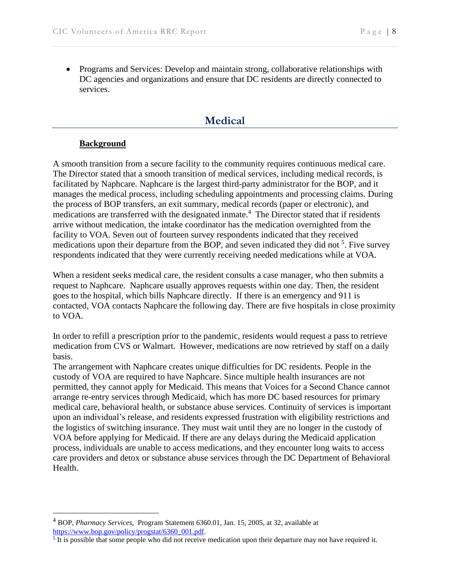• Programs and Services: Develop and maintain strong, collaborative relationships with DC agencies and organizations and ensure that DC residents are directly connected to services.

### **Medical**

#### **Background**

A smooth transition from a secure facility to the community requires continuous medical care. The Director stated that a smooth transition of medical services, including medical records, is facilitated by Naphcare. Naphcare is the largest third-party administrator for the BOP, and it manages the medical process, including scheduling appointments and processing claims. During the process of BOP transfers, an exit summary, medical records (paper or electronic), and medications are transferred with the designated inmate.<sup>4</sup> The Director stated that if residents arrive without medication, the intake coordinator has the medication overnighted from the facility to VOA. Seven out of fourteen survey respondents indicated that they received medications upon their departure from the BOP, and seven indicated they did not <sup>5</sup>. Five survey respondents indicated that they were currently receiving needed medications while at VOA.

When a resident seeks medical care, the resident consults a case manager, who then submits a request to Naphcare. Naphcare usually approves requests within one day. Then, the resident goes to the hospital, which bills Naphcare directly. If there is an emergency and 911 is contacted, VOA contacts Naphcare the following day. There are five hospitals in close proximity to VOA.

In order to refill a prescription prior to the pandemic, residents would request a pass to retrieve medication from CVS or Walmart. However, medications are now retrieved by staff on a daily basis.

The arrangement with Naphcare creates unique difficulties for DC residents. People in the custody of VOA are required to have Naphcare. Since multiple health insurances are not permitted, they cannot apply for Medicaid. This means that Voices for a Second Chance cannot arrange re-entry services through Medicaid, which has more DC based resources for primary medical care, behavioral health, or substance abuse services. Continuity of services is important upon an individual's release, and residents expressed frustration with eligibility restrictions and the logistics of switching insurance. They must wait until they are no longer in the custody of VOA before applying for Medicaid. If there are any delays during the Medicaid application process, individuals are unable to access medications, and they encounter long waits to access care providers and detox or substance abuse services through the DC Department of Behavioral Health.

<sup>4</sup> BOP, *Pharmacy Services,* Program Statement 6360.01, Jan. 15, 2005, at 32, available at [https://www.bop.gov/policy/progstat/6360\\_001.pdf.](https://www.bop.gov/policy/progstat/6360_001.pdf)

<sup>&</sup>lt;sup>5</sup> It is possible that some people who did not receive medication upon their departure may not have required it.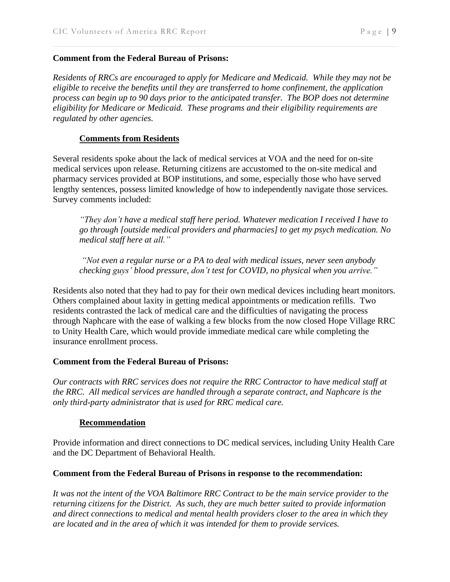#### **Comment from the Federal Bureau of Prisons:**

*Residents of RRCs are encouraged to apply for Medicare and Medicaid. While they may not be eligible to receive the benefits until they are transferred to home confinement, the application process can begin up to 90 days prior to the anticipated transfer. The BOP does not determine eligibility for Medicare or Medicaid. These programs and their eligibility requirements are regulated by other agencies.*

#### **Comments from Residents**

Several residents spoke about the lack of medical services at VOA and the need for on-site medical services upon release. Returning citizens are accustomed to the on-site medical and pharmacy services provided at BOP institutions, and some, especially those who have served lengthy sentences, possess limited knowledge of how to independently navigate those services. Survey comments included:

*"They don't have a medical staff here period. Whatever medication I received I have to go through [outside medical providers and pharmacies] to get my psych medication. No medical staff here at all."* 

*"Not even a regular nurse or a PA to deal with medical issues, never seen anybody checking guys' blood pressure, don't test for COVID, no physical when you arrive."*

Residents also noted that they had to pay for their own medical devices including heart monitors. Others complained about laxity in getting medical appointments or medication refills. Two residents contrasted the lack of medical care and the difficulties of navigating the process through Naphcare with the ease of walking a few blocks from the now closed Hope Village RRC to Unity Health Care, which would provide immediate medical care while completing the insurance enrollment process.

#### **Comment from the Federal Bureau of Prisons:**

*Our contracts with RRC services does not require the RRC Contractor to have medical staff at the RRC. All medical services are handled through a separate contract, and Naphcare is the only third-party administrator that is used for RRC medical care.*

#### **Recommendation**

Provide information and direct connections to DC medical services, including Unity Health Care and the DC Department of Behavioral Health.

#### **Comment from the Federal Bureau of Prisons in response to the recommendation:**

It was not the intent of the VOA Baltimore RRC Contract to be the main service provider to the *returning citizens for the District. As such, they are much better suited to provide information and direct connections to medical and mental health providers closer to the area in which they are located and in the area of which it was intended for them to provide services.*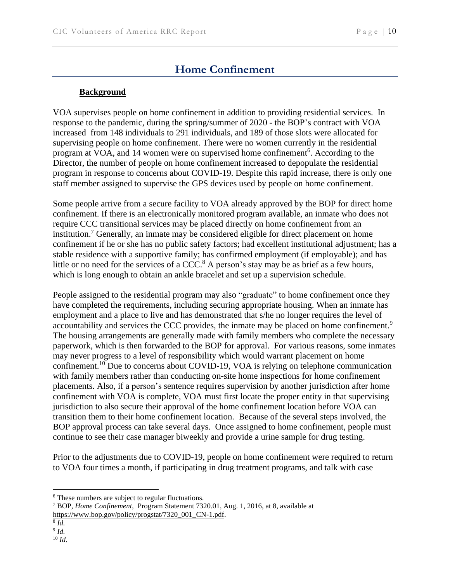# **Home Confinement**

#### **Background**

VOA supervises people on home confinement in addition to providing residential services. In response to the pandemic, during the spring/summer of 2020 - the BOP's contract with VOA increased from 148 individuals to 291 individuals, and 189 of those slots were allocated for supervising people on home confinement. There were no women currently in the residential program at VOA, and 14 women were on supervised home confinement<sup>6</sup>. According to the Director, the number of people on home confinement increased to depopulate the residential program in response to concerns about COVID-19. Despite this rapid increase, there is only one staff member assigned to supervise the GPS devices used by people on home confinement.

Some people arrive from a secure facility to VOA already approved by the BOP for direct home confinement. If there is an electronically monitored program available, an inmate who does not require CCC transitional services may be placed directly on home confinement from an institution.<sup>7</sup> Generally, an inmate may be considered eligible for direct placement on home confinement if he or she has no public safety factors; had excellent institutional adjustment; has a stable residence with a supportive family; has confirmed employment (if employable); and has little or no need for the services of a  $\text{CCC}^8$  A person's stay may be as brief as a few hours, which is long enough to obtain an ankle bracelet and set up a supervision schedule.

People assigned to the residential program may also "graduate" to home confinement once they have completed the requirements, including securing appropriate housing. When an inmate has employment and a place to live and has demonstrated that s/he no longer requires the level of accountability and services the CCC provides, the inmate may be placed on home confinement.<sup>9</sup> The housing arrangements are generally made with family members who complete the necessary paperwork, which is then forwarded to the BOP for approval. For various reasons, some inmates may never progress to a level of responsibility which would warrant placement on home confinement.<sup>10</sup> Due to concerns about COVID-19, VOA is relying on telephone communication with family members rather than conducting on-site home inspections for home confinement placements. Also, if a person's sentence requires supervision by another jurisdiction after home confinement with VOA is complete, VOA must first locate the proper entity in that supervising jurisdiction to also secure their approval of the home confinement location before VOA can transition them to their home confinement location. Because of the several steps involved, the BOP approval process can take several days. Once assigned to home confinement, people must continue to see their case manager biweekly and provide a urine sample for drug testing.

Prior to the adjustments due to COVID-19, people on home confinement were required to return to VOA four times a month, if participating in drug treatment programs, and talk with case

8 *Id.*

<sup>10</sup> *Id*.

<sup>6</sup> These numbers are subject to regular fluctuations.

<sup>7</sup> BOP, *Home Confinement,* Program Statement 7320.01, Aug. 1, 2016, at 8, available at [https://www.bop.gov/policy/progstat/7320\\_001\\_CN-1.pdf.](https://www.bop.gov/policy/progstat/7320_001_CN-1.pdf)

<sup>9</sup> *Id.*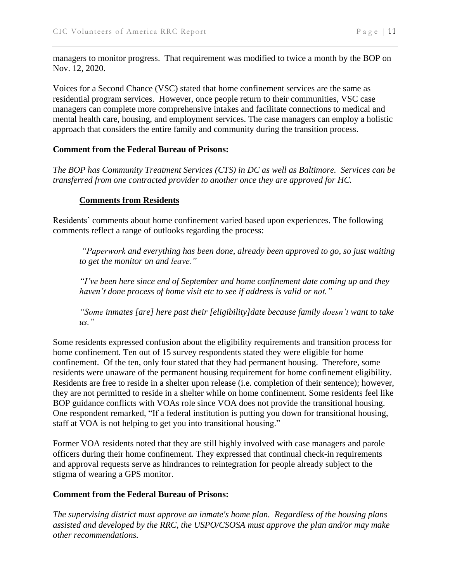managers to monitor progress. That requirement was modified to twice a month by the BOP on Nov. 12, 2020.

Voices for a Second Chance (VSC) stated that home confinement services are the same as residential program services. However, once people return to their communities, VSC case managers can complete more comprehensive intakes and facilitate connections to medical and mental health care, housing, and employment services. The case managers can employ a holistic approach that considers the entire family and community during the transition process.

#### **Comment from the Federal Bureau of Prisons:**

*The BOP has Community Treatment Services (CTS) in DC as well as Baltimore. Services can be transferred from one contracted provider to another once they are approved for HC.*

#### **Comments from Residents**

Residents' comments about home confinement varied based upon experiences. The following comments reflect a range of outlooks regarding the process:

*"Paperwork and everything has been done, already been approved to go, so just waiting to get the monitor on and leave."* 

*"I've been here since end of September and home confinement date coming up and they haven't done process of home visit etc to see if address is valid or not."*

*"Some inmates [are] here past their [eligibility]date because family doesn't want to take us."*

Some residents expressed confusion about the eligibility requirements and transition process for home confinement. Ten out of 15 survey respondents stated they were eligible for home confinement. Of the ten, only four stated that they had permanent housing. Therefore, some residents were unaware of the permanent housing requirement for home confinement eligibility. Residents are free to reside in a shelter upon release (i.e. completion of their sentence); however, they are not permitted to reside in a shelter while on home confinement. Some residents feel like BOP guidance conflicts with VOAs role since VOA does not provide the transitional housing. One respondent remarked, "If a federal institution is putting you down for transitional housing, staff at VOA is not helping to get you into transitional housing."

Former VOA residents noted that they are still highly involved with case managers and parole officers during their home confinement. They expressed that continual check-in requirements and approval requests serve as hindrances to reintegration for people already subject to the stigma of wearing a GPS monitor.

#### **Comment from the Federal Bureau of Prisons:**

*The supervising district must approve an inmate's home plan. Regardless of the housing plans assisted and developed by the RRC, the USPO/CSOSA must approve the plan and/or may make other recommendations.*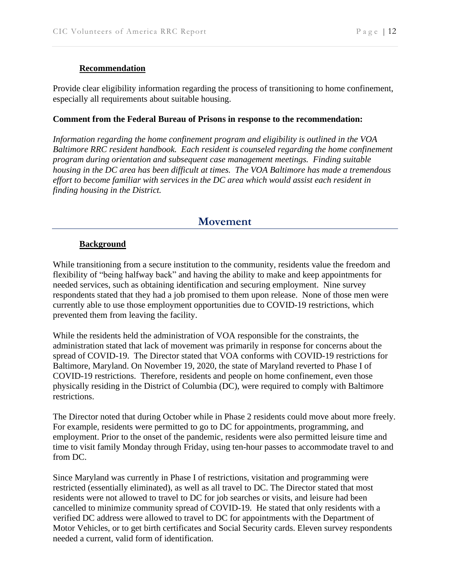#### **Recommendation**

Provide clear eligibility information regarding the process of transitioning to home confinement, especially all requirements about suitable housing.

#### **Comment from the Federal Bureau of Prisons in response to the recommendation:**

*Information regarding the home confinement program and eligibility is outlined in the VOA Baltimore RRC resident handbook. Each resident is counseled regarding the home confinement program during orientation and subsequent case management meetings. Finding suitable housing in the DC area has been difficult at times. The VOA Baltimore has made a tremendous effort to become familiar with services in the DC area which would assist each resident in finding housing in the District.*

### **Movement**

#### **Background**

While transitioning from a secure institution to the community, residents value the freedom and flexibility of "being halfway back" and having the ability to make and keep appointments for needed services, such as obtaining identification and securing employment. Nine survey respondents stated that they had a job promised to them upon release. None of those men were currently able to use those employment opportunities due to COVID-19 restrictions, which prevented them from leaving the facility.

While the residents held the administration of VOA responsible for the constraints, the administration stated that lack of movement was primarily in response for concerns about the spread of COVID-19. The Director stated that VOA conforms with COVID-19 restrictions for Baltimore, Maryland. On November 19, 2020, the state of Maryland reverted to Phase I of COVID-19 restrictions. Therefore, residents and people on home confinement, even those physically residing in the District of Columbia (DC), were required to comply with Baltimore restrictions.

The Director noted that during October while in Phase 2 residents could move about more freely. For example, residents were permitted to go to DC for appointments, programming, and employment. Prior to the onset of the pandemic, residents were also permitted leisure time and time to visit family Monday through Friday, using ten-hour passes to accommodate travel to and from DC.

Since Maryland was currently in Phase I of restrictions, visitation and programming were restricted (essentially eliminated), as well as all travel to DC. The Director stated that most residents were not allowed to travel to DC for job searches or visits, and leisure had been cancelled to minimize community spread of COVID-19. He stated that only residents with a verified DC address were allowed to travel to DC for appointments with the Department of Motor Vehicles, or to get birth certificates and Social Security cards. Eleven survey respondents needed a current, valid form of identification.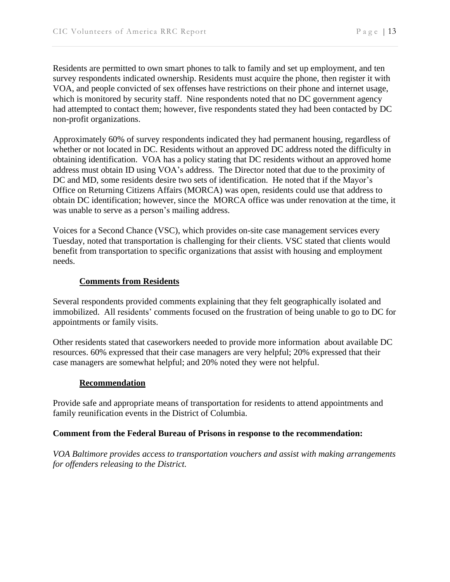Residents are permitted to own smart phones to talk to family and set up employment, and ten survey respondents indicated ownership. Residents must acquire the phone, then register it with VOA, and people convicted of sex offenses have restrictions on their phone and internet usage, which is monitored by security staff. Nine respondents noted that no DC government agency had attempted to contact them; however, five respondents stated they had been contacted by DC non-profit organizations.

Approximately 60% of survey respondents indicated they had permanent housing, regardless of whether or not located in DC. Residents without an approved DC address noted the difficulty in obtaining identification. VOA has a policy stating that DC residents without an approved home address must obtain ID using VOA's address. The Director noted that due to the proximity of DC and MD, some residents desire two sets of identification. He noted that if the Mayor's Office on Returning Citizens Affairs (MORCA) was open, residents could use that address to obtain DC identification; however, since the MORCA office was under renovation at the time, it was unable to serve as a person's mailing address.

Voices for a Second Chance (VSC), which provides on-site case management services every Tuesday, noted that transportation is challenging for their clients. VSC stated that clients would benefit from transportation to specific organizations that assist with housing and employment needs.

#### **Comments from Residents**

Several respondents provided comments explaining that they felt geographically isolated and immobilized. All residents' comments focused on the frustration of being unable to go to DC for appointments or family visits.

Other residents stated that caseworkers needed to provide more information about available DC resources. 60% expressed that their case managers are very helpful; 20% expressed that their case managers are somewhat helpful; and 20% noted they were not helpful.

#### **Recommendation**

Provide safe and appropriate means of transportation for residents to attend appointments and family reunification events in the District of Columbia.

#### **Comment from the Federal Bureau of Prisons in response to the recommendation:**

*VOA Baltimore provides access to transportation vouchers and assist with making arrangements for offenders releasing to the District.*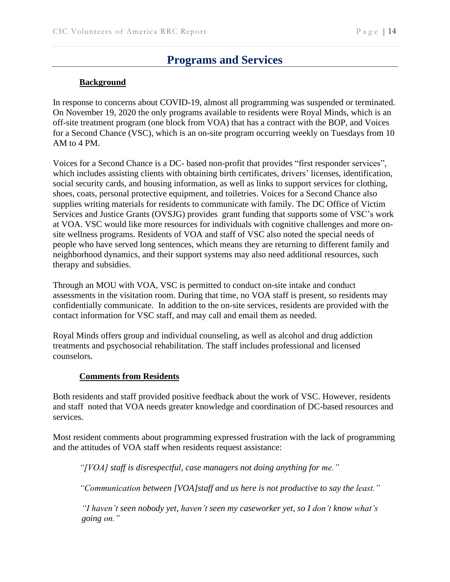# **Programs and Services**

#### **Background**

In response to concerns about COVID-19, almost all programming was suspended or terminated. On November 19, 2020 the only programs available to residents were Royal Minds, which is an off-site treatment program (one block from VOA) that has a contract with the BOP, and Voices for a Second Chance (VSC), which is an on-site program occurring weekly on Tuesdays from 10 AM to 4 PM.

Voices for a Second Chance is a DC- based non-profit that provides "first responder services", which includes assisting clients with obtaining birth certificates, drivers' licenses, identification, social security cards, and housing information, as well as links to support services for clothing, shoes, coats, personal protective equipment, and toiletries. Voices for a Second Chance also supplies writing materials for residents to communicate with family. The DC Office of Victim Services and Justice Grants (OVSJG) provides grant funding that supports some of VSC's work at VOA. VSC would like more resources for individuals with cognitive challenges and more onsite wellness programs. Residents of VOA and staff of VSC also noted the special needs of people who have served long sentences, which means they are returning to different family and neighborhood dynamics, and their support systems may also need additional resources, such therapy and subsidies.

Through an MOU with VOA, VSC is permitted to conduct on-site intake and conduct assessments in the visitation room. During that time, no VOA staff is present, so residents may confidentially communicate. In addition to the on-site services, residents are provided with the contact information for VSC staff, and may call and email them as needed.

Royal Minds offers group and individual counseling, as well as alcohol and drug addiction treatments and psychosocial rehabilitation. The staff includes professional and licensed counselors.

#### **Comments from Residents**

Both residents and staff provided positive feedback about the work of VSC. However, residents and staff noted that VOA needs greater knowledge and coordination of DC-based resources and services.

Most resident comments about programming expressed frustration with the lack of programming and the attitudes of VOA staff when residents request assistance:

*"[VOA] staff is disrespectful, case managers not doing anything for me."* 

*"Communication between [VOA]staff and us here is not productive to say the least."*

*"I haven't seen nobody yet, haven't seen my caseworker yet, so I don't know what's going on."*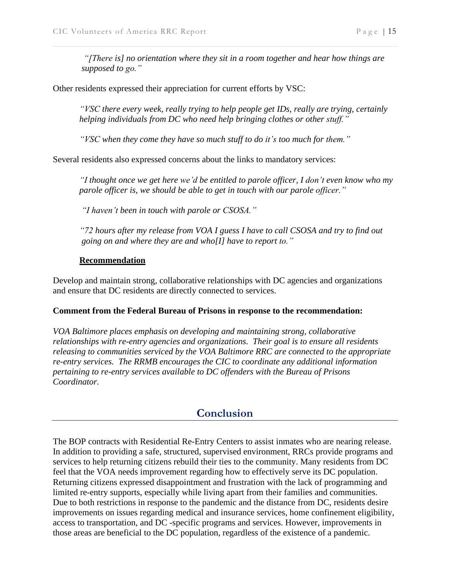*"[There is] no orientation where they sit in a room together and hear how things are supposed to go."* 

Other residents expressed their appreciation for current efforts by VSC:

*"VSC there every week, really trying to help people get IDs, really are trying, certainly helping individuals from DC who need help bringing clothes or other stuff."*

*"VSC when they come they have so much stuff to do it's too much for them."* 

Several residents also expressed concerns about the links to mandatory services:

*"I thought once we get here we'd be entitled to parole officer, I don't even know who my parole officer is, we should be able to get in touch with our parole officer."*

*"I haven't been in touch with parole or CSOSA."*

*"72 hours after my release from VOA I guess I have to call CSOSA and try to find out going on and where they are and who[I] have to report to."* 

#### **Recommendation**

Develop and maintain strong, collaborative relationships with DC agencies and organizations and ensure that DC residents are directly connected to services.

#### **Comment from the Federal Bureau of Prisons in response to the recommendation:**

*VOA Baltimore places emphasis on developing and maintaining strong, collaborative relationships with re-entry agencies and organizations. Their goal is to ensure all residents releasing to communities serviced by the VOA Baltimore RRC are connected to the appropriate re-entry services. The RRMB encourages the CIC to coordinate any additional information pertaining to re-entry services available to DC offenders with the Bureau of Prisons Coordinator.*

# **Conclusion**

The BOP contracts with Residential Re-Entry Centers to assist inmates who are nearing release. In addition to providing a safe, structured, supervised environment, RRCs provide programs and services to help returning citizens rebuild their ties to the community. Many residents from DC feel that the VOA needs improvement regarding how to effectively serve its DC population. Returning citizens expressed disappointment and frustration with the lack of programming and limited re-entry supports, especially while living apart from their families and communities. Due to both restrictions in response to the pandemic and the distance from DC, residents desire improvements on issues regarding medical and insurance services, home confinement eligibility, access to transportation, and DC -specific programs and services. However, improvements in those areas are beneficial to the DC population, regardless of the existence of a pandemic.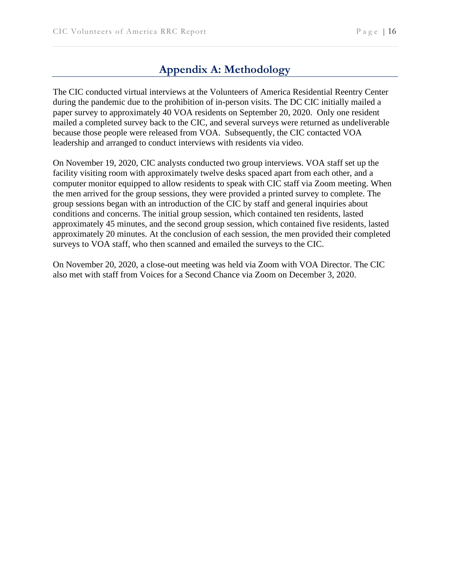# **Appendix A: Methodology**

The CIC conducted virtual interviews at the Volunteers of America Residential Reentry Center during the pandemic due to the prohibition of in-person visits. The DC CIC initially mailed a paper survey to approximately 40 VOA residents on September 20, 2020. Only one resident mailed a completed survey back to the CIC, and several surveys were returned as undeliverable because those people were released from VOA. Subsequently, the CIC contacted VOA leadership and arranged to conduct interviews with residents via video.

On November 19, 2020, CIC analysts conducted two group interviews. VOA staff set up the facility visiting room with approximately twelve desks spaced apart from each other, and a computer monitor equipped to allow residents to speak with CIC staff via Zoom meeting. When the men arrived for the group sessions, they were provided a printed survey to complete. The group sessions began with an introduction of the CIC by staff and general inquiries about conditions and concerns. The initial group session, which contained ten residents, lasted approximately 45 minutes, and the second group session, which contained five residents, lasted approximately 20 minutes. At the conclusion of each session, the men provided their completed surveys to VOA staff, who then scanned and emailed the surveys to the CIC.

On November 20, 2020, a close-out meeting was held via Zoom with VOA Director. The CIC also met with staff from Voices for a Second Chance via Zoom on December 3, 2020.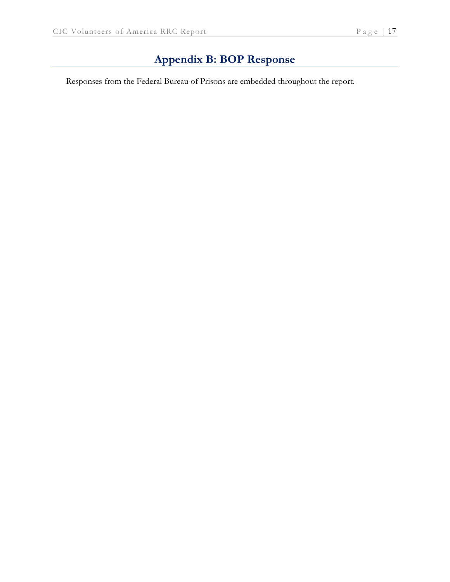# **Appendix B: BOP Response**

Responses from the Federal Bureau of Prisons are embedded throughout the report.